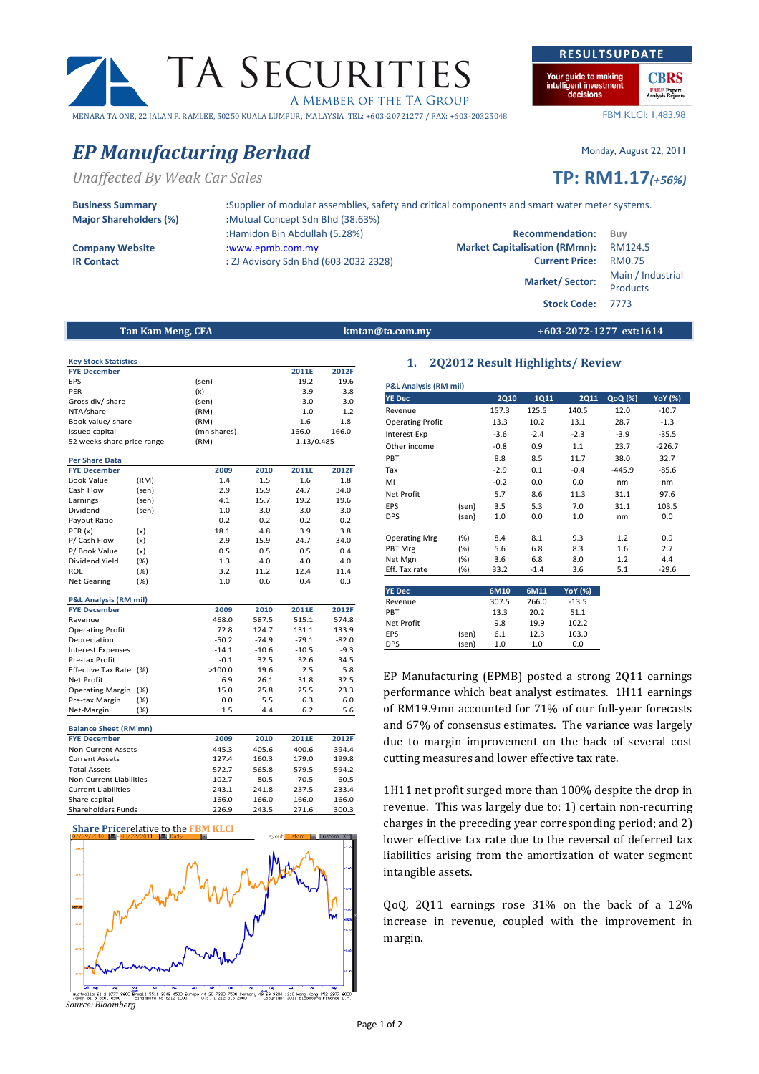# EP Manufacturing Berhad Monday, August 22, 2011

FYE December 2011E 2012F EPS (sen) 19.2 19.6 PER (x) 3.9 3.8 Gross div/ share (sen) 3.0 3.0 3.0<br>NTA/share (RM) 1.0 1.2

Book value/ share (RM) 1.6 1.8 Issued capital (mn shares) 166.0 166.0

FYE December 2009 2010 2011E 2012F<br>Book Value (RM) 1.4 1.5 1.6 1.8 Book Value (RM) 1.4 1.5 1.6 1.8 Cash Flow (sen) 2.9 15.9 24.7 34.0<br>
Earnings (sen) 4.1 15.7 19.2 19.6

Dividend (sen) 1.0 3.0 3.0 3.0 Payout Ratio **0.2** 0.2 0.2 0.2 0.2 PER (x) (x) 18.1 4.8 3.9 3.8 P/ Cash Flow (x) 2.9 15.9 24.7 34.0 P/ Book Value (x) 0.5 0.5 0.5 0.4 Dividend Yield (%) 1.3 4.0 4.0 4.0 ROE (%) 3.2 11.2 12.4 11.4 Net Gearing (%) 1.0 0.6 0.4 0.3

FYE December 2009 2010 2011E 2012F<br>
PYE December 2009 2010 2011E 2012F<br>
Revenue 468.0 587.5 515.1 574.8

Operating Profit<br>
Depreciation<br>
2.0.2 -74.9 -79.1 -82.0

Interest Expenses -14.1 -10.6 -10.5 -9.3 Pre-tax Profit -0.1 32.5 32.6 34.5<br>Effective Tax Rate (%) -0.0 2.5 3.8 5.8 Effective Tax Rate (%)  $\times$  100.0 19.6 2.5 5.8<br>Net Profit 6.9 26.1 31.8 32.5 Net Profit 6.9 26.1 31.8 32.5 Operating Margin (%) 15.0 25.8 25.5 23.3 Pre-tax Margin (%) 0.0 5.5 6.3 6.0 Net-Margin (%) 1.5 4.4 6.2 5.6

FYE December 2009 2010 2011E 2012F Non-Current Assets 445.3 405.6 400.6 394.4<br>Current Assets 127.4 160.3 179.0 199.8 Current Assets 127.4 160.3 179.0 Total Assets 572.7 565.8 579.5 594.2 Non-Current Liabilities 102.7 80.5 70.5 60.5 Current Liabilities 243.1 241.8 237.5 233.4 Share capital 166.0 166.0 166.0 166.0 166.0 Shareholders Funds 226.9 243.5 271.6 300.3

Unaffected By Weak Car Sales TP: RM1.17(+56%)

| <b>Business Summary</b>      |  |
|------------------------------|--|
| <b>Major Shareholders (%</b> |  |

Key Stock Statistics

52 weeks share price range (RM)

NTA/share

Per Share Data

Earnings (sen)

P&L Analysis (RM mil)

Balance Sheet (RM'mn)

Revenue

Depreciation

 $\delta$ ) :Mutual Concept Sdn Bhd (38.63%) :Hamidon Bin Abdullah (5.28%) Recommendation: Buy Company Website :www.epmb.com.my : Market Capitalisation (RMmn): RM124.5 IR Contact : ZJ Advisory Sdn Bhd (603 2032 2328) Current Price: RM0.75

1.13/0.485

Stock Code: 7773

Tan Kam Meng, CFA **kmtan@ta.com.my** +603-2072-1277 ext:1614

P&L Analysis (RM mil)

A MEMBER OF THE TA GROUP

### MENARA TA ONE, 22 JALAN P. RAMLEE, 50250 KUALA LUMPUR, MALAYSIA TEL: +603-20721277 / FAX: +603-20325048

Your guide to making

### 1. 2Q2012 Result Highlights/ Review

| <b>YE Dec</b>           |        | <b>2Q10</b> | 1Q11   | <b>2Q11</b>    | QoQ (%)  | <b>YoY</b> (%) |
|-------------------------|--------|-------------|--------|----------------|----------|----------------|
| Revenue                 |        | 157.3       | 125.5  | 140.5          | 12.0     | $-10.7$        |
| <b>Operating Profit</b> |        | 13.3        | 10.2   | 13.1           | 28.7     | $-1.3$         |
| Interest Exp            |        | $-3.6$      | $-2.4$ | $-2.3$         | $-3.9$   | $-35.5$        |
| Other income            |        | $-0.8$      | 0.9    | 1.1            | 23.7     | $-226.7$       |
| PBT                     |        | 8.8         | 8.5    | 11.7           | 38.0     | 32.7           |
| Tax                     |        | $-2.9$      | 0.1    | $-0.4$         | $-445.9$ | $-85.6$        |
| MI                      |        | $-0.2$      | 0.0    | 0.0            | nm       | nm             |
| Net Profit              |        | 5.7         | 8.6    | 11.3           | 31.1     | 97.6           |
| EPS                     | (sen)  | 3.5         | 5.3    | 7.0            | 31.1     | 103.5          |
| <b>DPS</b>              | (sen)  | 1.0         | 0.0    | 1.0            | nm       | 0.0            |
| <b>Operating Mrg</b>    | (%)    | 8.4         | 8.1    | 9.3            | 1.2      | 0.9            |
| PBT Mrg                 | $(\%)$ | 5.6         | 6.8    | 8.3            | 1.6      | 2.7            |
| Net Mgn                 | (%)    | 3.6         | 6.8    | 8.0            | 1.2      | 4.4            |
| Eff. Tax rate           | (%)    | 33.2        | $-1.4$ | 3.6            | 5.1      | $-29.6$        |
|                         |        |             |        |                |          |                |
| <b>YE Dec</b>           |        | 6M10        | 6M11   | <b>YoY</b> (%) |          |                |
| Revenue                 |        | 307.5       | 266.0  | $-13.5$        |          |                |
| PBT                     |        | 13.3        | 20.2   | 51.1           |          |                |
| Net Profit              |        | 9.8         | 19.9   | 102.2          |          |                |
| EPS                     | (sen)  | 6.1         | 12.3   | 103.0          |          |                |

DPS (sen) 1.0 1.0 0.0

EP Manufacturing (EPMB) posted a strong 2Q11 earnings performance which beat analyst estimates. 1H11 earnings of RM19.9mn accounted for 71% of our full-year forecasts and 67% of consensus estimates. The variance was largely due to margin improvement on the back of several cost cutting measures and lower effective tax rate.

1H11 net profit surged more than 100% despite the drop in revenue. This was largely due to: 1) certain non-recurring charges in the preceding year corresponding period; and 2) lower effective tax rate due to the reversal of deferred tax liabilities arising from the amortization of water segment intangible assets.

QoQ, 2Q11 earnings rose 31% on the back of a 12% increase in revenue, coupled with the improvement in margin.

#### Share Pricerelative to the FBM KLCI



 $\begin{array}{cccccc} 2000 & 2000 & 2010 & 2010 & 2010 & 2010 & 2010 & 2010 & 2010 & 2010 & 2010 & 2010 & 2010 & 2010 & 2010 & 2010 & 2010 & 2010 & 2010 & 2010 & 2010 & 2010 & 2010 & 2010 & 2010 & 2010 & 2010 & 2010 & 2010 & 2010 & 2010 & 2010 & 2010 & 2010 & 2010 & 2$  $\frac{2}{201}$  977 tral:<br>an Ri Source: Bloomberg

## TA SECURITIES RESULTSUPDATE

ligent investmen<br>decisions **FREE** Expert<br>Analysis Reports FBM KLCI: 1,483.98

**CBRS** 

## :Supplier of modular assemblies, safety and critical components and smart water meter systems.

Market/ Sector: Main / Industrial

Products